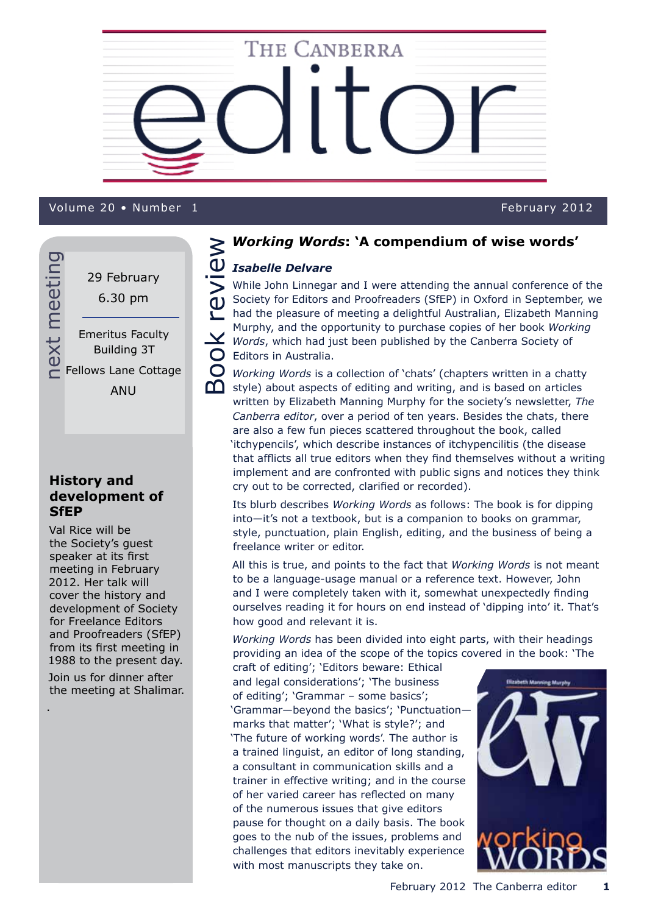

## Volume 19 • Number 9 February 2012 Volume 20 • Number 1 February 2012

next meeting next meeting 29 February 6.30 pm Emeritus Faculty Building 3T Fellows Lane Cottage

ANU

# **History and development of SfEP**

Val Rice will be the Society's guest speaker at its first meeting in February 2012. Her talk will cover the history and development of Society for Freelance Editors and Proofreaders (SfEP) from its first meeting in 1988 to the present day. Join us for dinner after the meeting at Shalimar.

.

## *Working Words***: 'A compendium of wise words'**

# Book review **NB** *Isabelle Delvare*

While John Linnegar and I were attending the annual conference of the Society for Editors and Proofreaders (SfEP) in Oxford in September, we had the pleasure of meeting a delightful Australian, Elizabeth Manning Murphy, and the opportunity to purchase copies of her book *Working Words*, which had just been published by the Canberra Society of  $\bigcirc$  Editors in Australia.

*Working Words* is a collection of 'chats' (chapters written in a chatty style) about aspects of editing and writing, and is based on articles written by Elizabeth Manning Murphy for the society's newsletter, *The Canberra editor*, over a period of ten years. Besides the chats, there are also a few fun pieces scattered throughout the book, called 'itchypencils', which describe instances of itchypencilitis (the disease that afflicts all true editors when they find themselves without a writing implement and are confronted with public signs and notices they think cry out to be corrected, clarified or recorded).

Its blurb describes *Working Words* as follows: The book is for dipping into—it's not a textbook, but is a companion to books on grammar, style, punctuation, plain English, editing, and the business of being a freelance writer or editor.

All this is true, and points to the fact that *Working Words* is not meant to be a language-usage manual or a reference text. However, John and I were completely taken with it, somewhat unexpectedly finding ourselves reading it for hours on end instead of 'dipping into' it. That's how good and relevant it is.

*Working Words* has been divided into eight parts, with their headings providing an idea of the scope of the topics covered in the book: 'The

craft of editing'; 'Editors beware: Ethical and legal considerations'; 'The business of editing'; 'Grammar – some basics'; 'Grammar—beyond the basics'; 'Punctuation marks that matter'; 'What is style?'; and 'The future of working words'. The author is a trained linguist, an editor of long standing, a consultant in communication skills and a trainer in effective writing; and in the course of her varied career has reflected on many of the numerous issues that give editors pause for thought on a daily basis. The book goes to the nub of the issues, problems and challenges that editors inevitably experience with most manuscripts they take on.

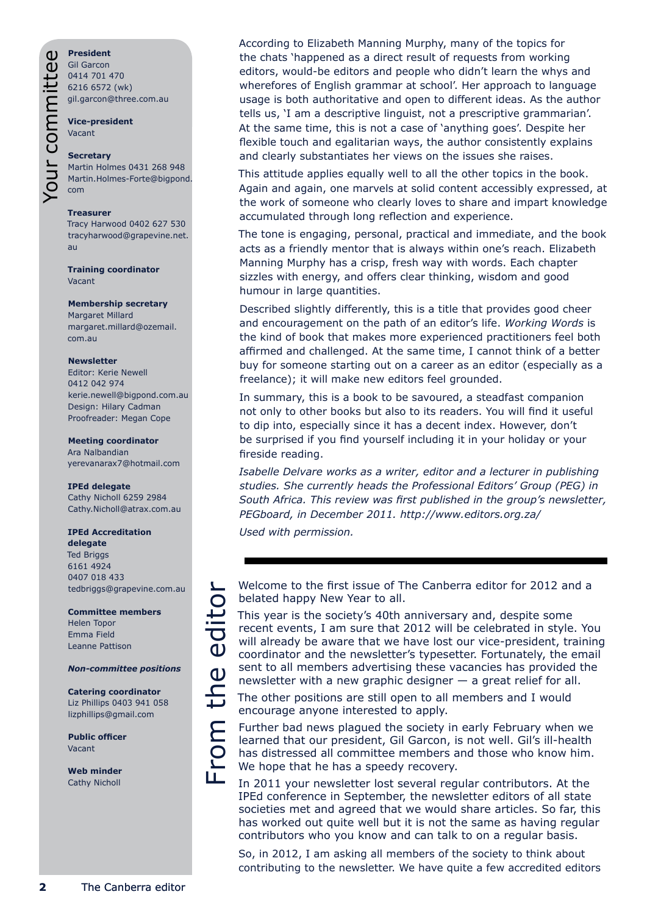Your committee**President** Gil Garcon 0414 701 470 6216 6572 (wk) gil.garcon@three.com.au

**Vice-president** Vacant

#### **Secretary**

Martin Holmes 0431 268 948 Martin.Holmes-Forte@bigpond. com

#### **Treasurer**

Tracy Harwood 0402 627 530 tracyharwood@grapevine.net. au

**Training coordinator** Vacant

#### **Membership secretary**

Margaret Millard margaret.millard@ozemail. com.au

#### **Newsletter**

Editor: Kerie Newell 0412 042 974 kerie.newell@bigpond.com.au Design: Hilary Cadman Proofreader: Megan Cope

#### **Meeting coordinator**

Ara Nalbandian yerevanarax7@hotmail.com

#### **IPEd delegate**

Cathy Nicholl 6259 2984 Cathy.Nicholl@atrax.com.au

#### **IPEd Accreditation**

**delegate** Ted Briggs 6161 4924 0407 018 433 tedbriggs@grapevine.com.au

#### **Committee members**

Helen Topor Emma Field Leanne Pattison

#### *Non-committee positions*

From the editor

rom

Щ

**Catering coordinator** Liz Phillips 0403 941 058 lizphillips@gmail.com

**Public officer** Vacant

**Web minder** Cathy Nicholl

According to Elizabeth Manning Murphy, many of the topics for the chats 'happened as a direct result of requests from working editors, would-be editors and people who didn't learn the whys and wherefores of English grammar at school'. Her approach to language usage is both authoritative and open to different ideas. As the author tells us, 'I am a descriptive linguist, not a prescriptive grammarian'. At the same time, this is not a case of 'anything goes'. Despite her flexible touch and egalitarian ways, the author consistently explains and clearly substantiates her views on the issues she raises.

This attitude applies equally well to all the other topics in the book. Again and again, one marvels at solid content accessibly expressed, at the work of someone who clearly loves to share and impart knowledge accumulated through long reflection and experience.

The tone is engaging, personal, practical and immediate, and the book acts as a friendly mentor that is always within one's reach. Elizabeth Manning Murphy has a crisp, fresh way with words. Each chapter sizzles with energy, and offers clear thinking, wisdom and good humour in large quantities.

Described slightly differently, this is a title that provides good cheer and encouragement on the path of an editor's life. *Working Words* is the kind of book that makes more experienced practitioners feel both affirmed and challenged. At the same time, I cannot think of a better buy for someone starting out on a career as an editor (especially as a freelance); it will make new editors feel grounded.

In summary, this is a book to be savoured, a steadfast companion not only to other books but also to its readers. You will find it useful to dip into, especially since it has a decent index. However, don't be surprised if you find yourself including it in your holiday or your fireside reading.

*Isabelle Delvare works as a writer, editor and a lecturer in publishing studies. She currently heads the Professional Editors' Group (PEG) in South Africa. This review was first published in the group's newsletter, PEGboard, in December 2011. http://www.editors.org.za/*

*Used with permission.*

Welcome to the first issue of The Canberra editor for 2012 and a belated happy New Year to all.

This year is the society's 40th anniversary and, despite some recent events, I am sure that 2012 will be celebrated in style. You  $\mathbf{C}$ will already be aware that we have lost our vice-president, training coordinator and the newsletter's typesetter. Fortunately, the email the sent to all members advertising these vacancies has provided the newsletter with a new graphic designer  $-$  a great relief for all.

The other positions are still open to all members and I would encourage anyone interested to apply.

Further bad news plagued the society in early February when we learned that our president, Gil Garcon, is not well. Gil's ill-health has distressed all committee members and those who know him. We hope that he has a speedy recovery.

In 2011 your newsletter lost several regular contributors. At the IPEd conference in September, the newsletter editors of all state societies met and agreed that we would share articles. So far, this has worked out quite well but it is not the same as having regular contributors who you know and can talk to on a regular basis.

So, in 2012, I am asking all members of the society to think about contributing to the newsletter. We have quite a few accredited editors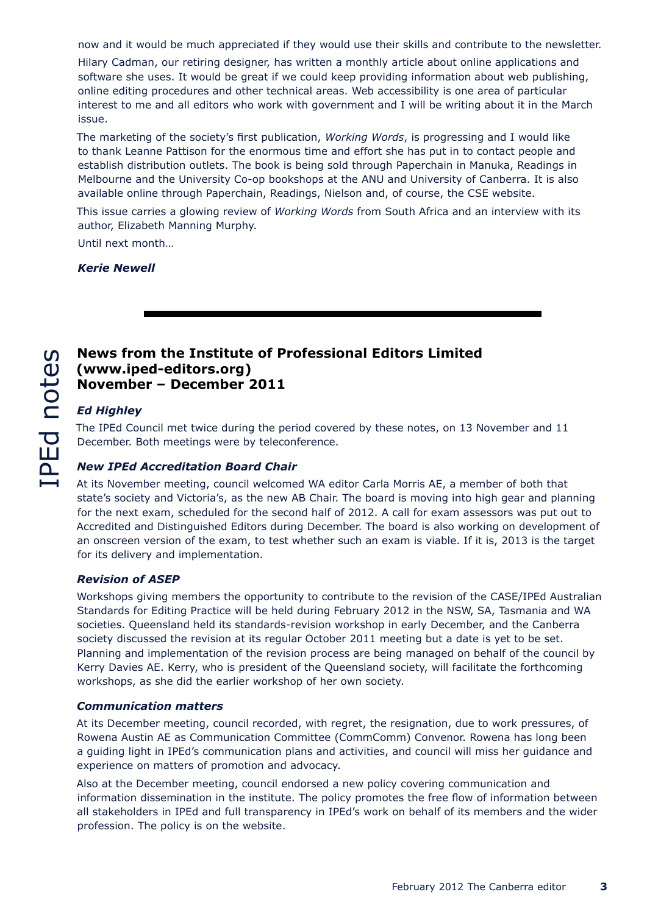now and it would be much appreciated if they would use their skills and contribute to the newsletter.

Hilary Cadman, our retiring designer, has written a monthly article about online applications and software she uses. It would be great if we could keep providing information about web publishing, online editing procedures and other technical areas. Web accessibility is one area of particular interest to me and all editors who work with government and I will be writing about it in the March issue.

The marketing of the society's first publication, *Working Words*, is progressing and I would like to thank Leanne Pattison for the enormous time and effort she has put in to contact people and establish distribution outlets. The book is being sold through Paperchain in Manuka, Readings in Melbourne and the University Co-op bookshops at the ANU and University of Canberra. It is also available online through Paperchain, Readings, Nielson and, of course, the CSE website.

This issue carries a glowing review of *Working Words* from South Africa and an interview with its author, Elizabeth Manning Murphy.

Until next month…

*Kerie Newell*

# **News from the Institute of Professional Editors Limited (www.iped-editors.org) November – December 2011**

#### *Ed Highley*

The IPEd Council met twice during the period covered by these notes, on 13 November and 11 December. Both meetings were by teleconference.

#### *New IPEd Accreditation Board Chair*

At its November meeting, council welcomed WA editor Carla Morris AE, a member of both that state's society and Victoria's, as the new AB Chair. The board is moving into high gear and planning for the next exam, scheduled for the second half of 2012. A call for exam assessors was put out to Accredited and Distinguished Editors during December. The board is also working on development of an onscreen version of the exam, to test whether such an exam is viable. If it is, 2013 is the target for its delivery and implementation.

#### *Revision of ASEP*

Workshops giving members the opportunity to contribute to the revision of the CASE/IPEd Australian Standards for Editing Practice will be held during February 2012 in the NSW, SA, Tasmania and WA societies. Queensland held its standards-revision workshop in early December, and the Canberra society discussed the revision at its regular October 2011 meeting but a date is yet to be set. Planning and implementation of the revision process are being managed on behalf of the council by Kerry Davies AE. Kerry, who is president of the Queensland society, will facilitate the forthcoming workshops, as she did the earlier workshop of her own society.

#### *Communication matters*

At its December meeting, council recorded, with regret, the resignation, due to work pressures, of Rowena Austin AE as Communication Committee (CommComm) Convenor. Rowena has long been a guiding light in IPEd's communication plans and activities, and council will miss her guidance and experience on matters of promotion and advocacy.

Also at the December meeting, council endorsed a new policy covering communication and information dissemination in the institute. The policy promotes the free flow of information between all stakeholders in IPEd and full transparency in IPEd's work on behalf of its members and the wider profession. The policy is on the website.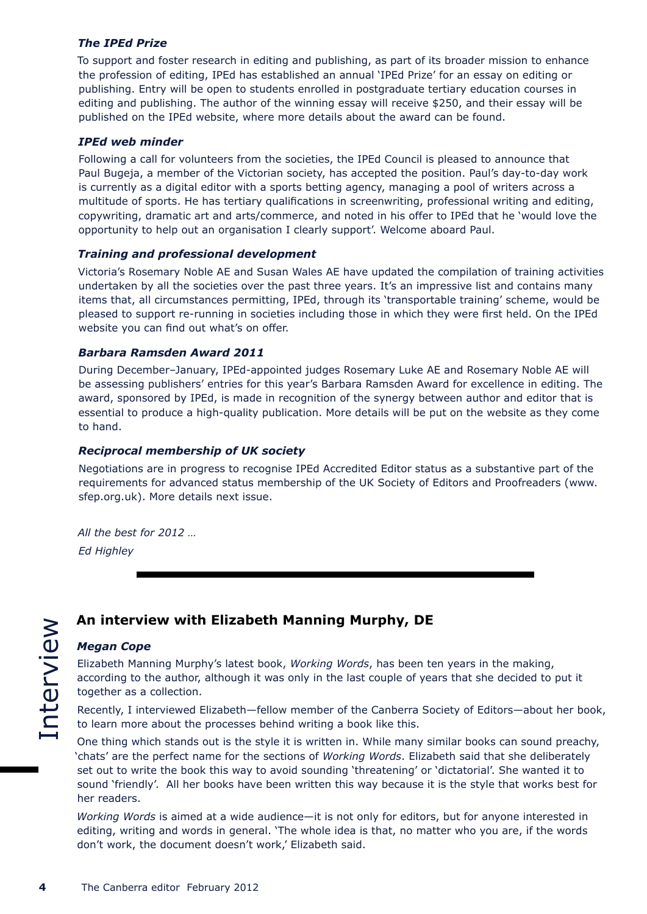#### *The IPEd Prize*

To support and foster research in editing and publishing, as part of its broader mission to enhance the profession of editing, IPEd has established an annual 'IPEd Prize' for an essay on editing or publishing. Entry will be open to students enrolled in postgraduate tertiary education courses in editing and publishing. The author of the winning essay will receive \$250, and their essay will be published on the IPEd website, where more details about the award can be found.

#### *IPEd web minder*

Following a call for volunteers from the societies, the IPEd Council is pleased to announce that Paul Bugeja, a member of the Victorian society, has accepted the position. Paul's day-to-day work is currently as a digital editor with a sports betting agency, managing a pool of writers across a multitude of sports. He has tertiary qualifications in screenwriting, professional writing and editing, copywriting, dramatic art and arts/commerce, and noted in his offer to IPEd that he 'would love the opportunity to help out an organisation I clearly support'. Welcome aboard Paul.

#### *Training and professional development*

Victoria's Rosemary Noble AE and Susan Wales AE have updated the compilation of training activities undertaken by all the societies over the past three years. It's an impressive list and contains many items that, all circumstances permitting, IPEd, through its 'transportable training' scheme, would be pleased to support re-running in societies including those in which they were first held. On the IPEd website you can find out what's on offer.

#### *Barbara Ramsden Award 2011*

During December–January, IPEd-appointed judges Rosemary Luke AE and Rosemary Noble AE will be assessing publishers' entries for this year's Barbara Ramsden Award for excellence in editing. The award, sponsored by IPEd, is made in recognition of the synergy between author and editor that is essential to produce a high-quality publication. More details will be put on the website as they come to hand.

#### *Reciprocal membership of UK society*

Negotiations are in progress to recognise IPEd Accredited Editor status as a substantive part of the requirements for advanced status membership of the UK Society of Editors and Proofreaders (www. sfep.org.uk). More details next issue.

*All the best for 2012 … Ed Highley*

# **An interview with Elizabeth Manning Murphy, DE**

#### *Megan Cope*

Elizabeth Manning Murphy's latest book, *Working Words*, has been ten years in the making, according to the author, although it was only in the last couple of years that she decided to put it together as a collection.

Recently, I interviewed Elizabeth—fellow member of the Canberra Society of Editors—about her book, to learn more about the processes behind writing a book like this.

One thing which stands out is the style it is written in. While many similar books can sound preachy, 'chats' are the perfect name for the sections of *Working Words*. Elizabeth said that she deliberately set out to write the book this way to avoid sounding 'threatening' or 'dictatorial'. She wanted it to sound 'friendly'. All her books have been written this way because it is the style that works best for her readers.

*Working Words* is aimed at a wide audience—it is not only for editors, but for anyone interested in editing, writing and words in general. 'The whole idea is that, no matter who you are, if the words don't work, the document doesn't work,' Elizabeth said.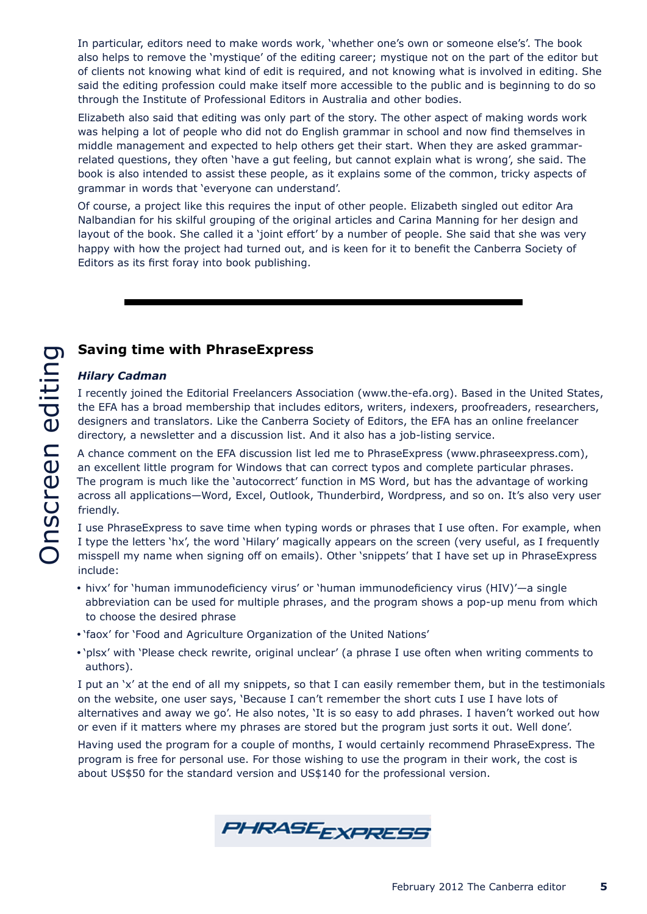In particular, editors need to make words work, 'whether one's own or someone else's'. The book also helps to remove the 'mystique' of the editing career; mystique not on the part of the editor but of clients not knowing what kind of edit is required, and not knowing what is involved in editing. She said the editing profession could make itself more accessible to the public and is beginning to do so through the Institute of Professional Editors in Australia and other bodies.

Elizabeth also said that editing was only part of the story. The other aspect of making words work was helping a lot of people who did not do English grammar in school and now find themselves in middle management and expected to help others get their start. When they are asked grammarrelated questions, they often 'have a gut feeling, but cannot explain what is wrong', she said. The book is also intended to assist these people, as it explains some of the common, tricky aspects of grammar in words that 'everyone can understand'.

Of course, a project like this requires the input of other people. Elizabeth singled out editor Ara Nalbandian for his skilful grouping of the original articles and Carina Manning for her design and layout of the book. She called it a 'joint effort' by a number of people. She said that she was very happy with how the project had turned out, and is keen for it to benefit the Canberra Society of Editors as its first foray into book publishing.

# **Saving time with PhraseExpress**

#### *Hilary Cadman*

I recently joined the Editorial Freelancers Association (www.the-efa.org). Based in the United States, the EFA has a broad membership that includes editors, writers, indexers, proofreaders, researchers, designers and translators. Like the Canberra Society of Editors, the EFA has an online freelancer directory, a newsletter and a discussion list. And it also has a job-listing service.

A chance comment on the EFA discussion list led me to PhraseExpress (www.phraseexpress.com), an excellent little program for Windows that can correct typos and complete particular phrases. The program is much like the 'autocorrect' function in MS Word, but has the advantage of working across all applications—Word, Excel, Outlook, Thunderbird, Wordpress, and so on. It's also very user friendly.

I use PhraseExpress to save time when typing words or phrases that I use often. For example, when I type the letters 'hx', the word 'Hilary' magically appears on the screen (very useful, as I frequently misspell my name when signing off on emails). Other 'snippets' that I have set up in PhraseExpress include:

- y hivx' for 'human immunodeficiency virus' or 'human immunodeficiency virus (HIV)'—a single abbreviation can be used for multiple phrases, and the program shows a pop-up menu from which to choose the desired phrase
- 'faox' for 'Food and Agriculture Organization of the United Nations'
- 'plsx' with 'Please check rewrite, original unclear' (a phrase I use often when writing comments to authors).

I put an 'x' at the end of all my snippets, so that I can easily remember them, but in the testimonials on the website, one user says, 'Because I can't remember the short cuts I use I have lots of alternatives and away we go'. He also notes, 'It is so easy to add phrases. I haven't worked out how or even if it matters where my phrases are stored but the program just sorts it out. Well done'.

Having used the program for a couple of months, I would certainly recommend PhraseExpress. The program is free for personal use. For those wishing to use the program in their work, the cost is about US\$50 for the standard version and US\$140 for the professional version.

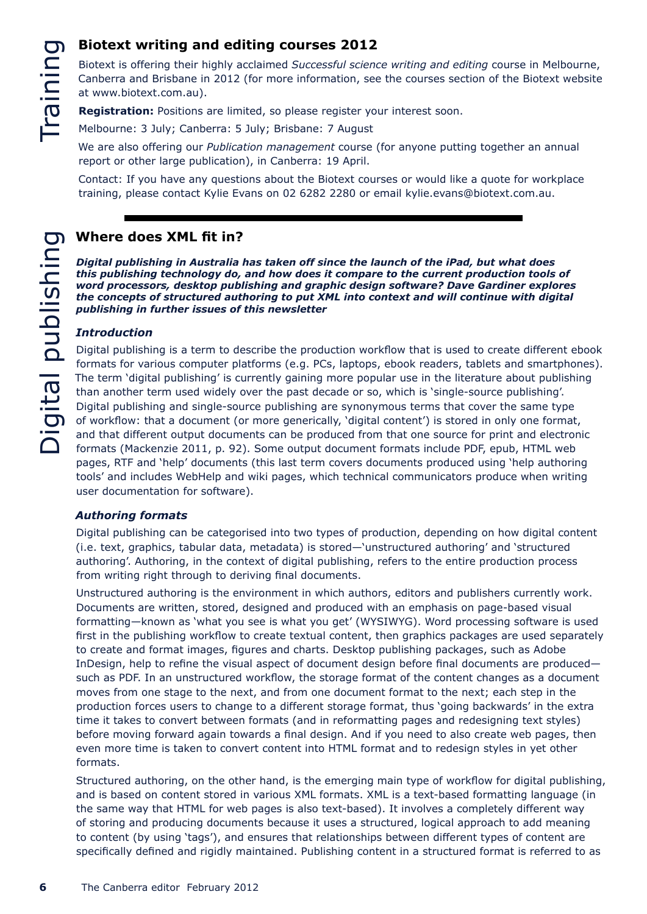# **Biotext writing and editing courses 2012**

Biotext is offering their highly acclaimed *Successful science writing and editing* course in Melbourne, Canberra and Brisbane in 2012 (for more information, see the courses section of the Biotext website at www.biotext.com.au).

**Registration:** Positions are limited, so please register your interest soon.

Melbourne: 3 July; Canberra: 5 July; Brisbane: 7 August

We are also offering our *Publication management* course (for anyone putting together an annual report or other large publication), in Canberra: 19 April.

Contact: If you have any questions about the Biotext courses or would like a quote for workplace training, please contact Kylie Evans on 02 6282 2280 or email kylie.evans@biotext.com.au.

# **Where does XML fit in?** Digital publishing Digital publishing

*Digital publishing in Australia has taken off since the launch of the iPad, but what does this publishing technology do, and how does it compare to the current production tools of word processors, desktop publishing and graphic design software? Dave Gardiner explores the concepts of structured authoring to put XML into context and will continue with digital publishing in further issues of this newsletter*

#### *Introduction*

Digital publishing is a term to describe the production workflow that is used to create different ebook formats for various computer platforms (e.g. PCs, laptops, ebook readers, tablets and smartphones). The term 'digital publishing' is currently gaining more popular use in the literature about publishing than another term used widely over the past decade or so, which is 'single-source publishing'. Digital publishing and single-source publishing are synonymous terms that cover the same type of workflow: that a document (or more generically, 'digital content') is stored in only one format, and that different output documents can be produced from that one source for print and electronic formats (Mackenzie 2011, p. 92). Some output document formats include PDF, epub, HTML web pages, RTF and 'help' documents (this last term covers documents produced using 'help authoring tools' and includes WebHelp and wiki pages, which technical communicators produce when writing user documentation for software).

#### *Authoring formats*

Digital publishing can be categorised into two types of production, depending on how digital content (i.e. text, graphics, tabular data, metadata) is stored—'unstructured authoring' and 'structured authoring'. Authoring, in the context of digital publishing, refers to the entire production process from writing right through to deriving final documents.

Unstructured authoring is the environment in which authors, editors and publishers currently work. Documents are written, stored, designed and produced with an emphasis on page-based visual formatting—known as 'what you see is what you get' (WYSIWYG). Word processing software is used first in the publishing workflow to create textual content, then graphics packages are used separately to create and format images, figures and charts. Desktop publishing packages, such as Adobe InDesign, help to refine the visual aspect of document design before final documents are produced such as PDF. In an unstructured workflow, the storage format of the content changes as a document moves from one stage to the next, and from one document format to the next; each step in the production forces users to change to a different storage format, thus 'going backwards' in the extra time it takes to convert between formats (and in reformatting pages and redesigning text styles) before moving forward again towards a final design. And if you need to also create web pages, then even more time is taken to convert content into HTML format and to redesign styles in yet other formats.

Structured authoring, on the other hand, is the emerging main type of workflow for digital publishing, and is based on content stored in various XML formats. XML is a text-based formatting language (in the same way that HTML for web pages is also text-based). It involves a completely different way of storing and producing documents because it uses a structured, logical approach to add meaning to content (by using 'tags'), and ensures that relationships between different types of content are specifically defined and rigidly maintained. Publishing content in a structured format is referred to as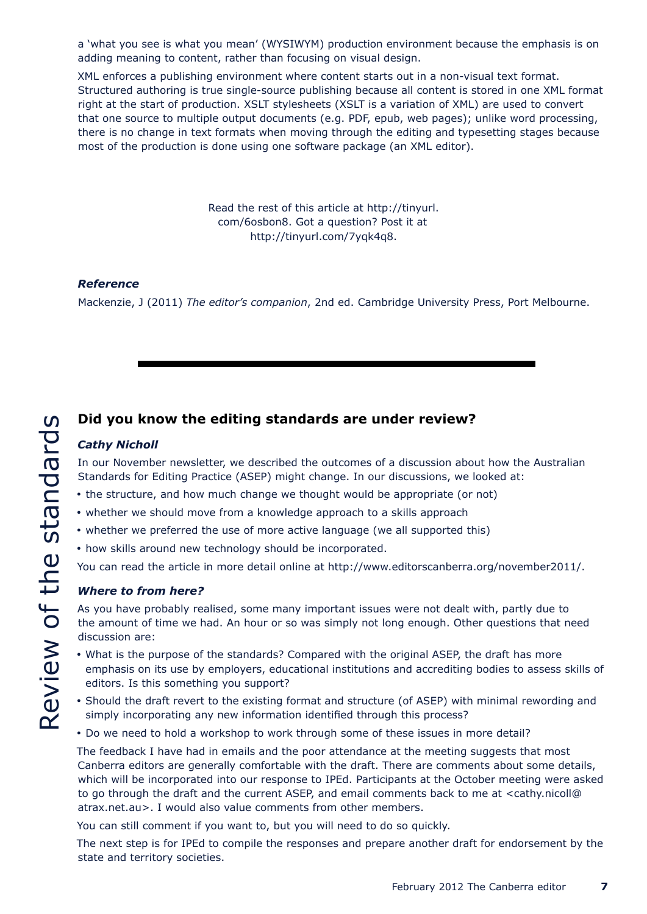a 'what you see is what you mean' (WYSIWYM) production environment because the emphasis is on adding meaning to content, rather than focusing on visual design.

XML enforces a publishing environment where content starts out in a non-visual text format. Structured authoring is true single-source publishing because all content is stored in one XML format right at the start of production. XSLT stylesheets (XSLT is a variation of XML) are used to convert that one source to multiple output documents (e.g. PDF, epub, web pages); unlike word processing, there is no change in text formats when moving through the editing and typesetting stages because most of the production is done using one software package (an XML editor).

> Read the rest of this article at http://tinyurl. com/6osbon8. Got a question? Post it at http://tinyurl.com/7yqk4q8.

#### *Reference*

Mackenzie, J (2011) *The editor's companion*, 2nd ed. Cambridge University Press, Port Melbourne.

# **Did you know the editing standards are under review?**

#### *Cathy Nicholl*

In our November newsletter, we described the outcomes of a discussion about how the Australian Standards for Editing Practice (ASEP) might change. In our discussions, we looked at:

- the structure, and how much change we thought would be appropriate (or not)
- whether we should move from a knowledge approach to a skills approach
- whether we preferred the use of more active language (we all supported this)
- how skills around new technology should be incorporated.

You can read the article in more detail online at http://www.editorscanberra.org/november2011/.

#### *Where to from here?*

As you have probably realised, some many important issues were not dealt with, partly due to the amount of time we had. An hour or so was simply not long enough. Other questions that need discussion are:

- What is the purpose of the standards? Compared with the original ASEP, the draft has more emphasis on its use by employers, educational institutions and accrediting bodies to assess skills of editors. Is this something you support?
- Should the draft revert to the existing format and structure (of ASEP) with minimal rewording and simply incorporating any new information identified through this process?
- Do we need to hold a workshop to work through some of these issues in more detail?

The feedback I have had in emails and the poor attendance at the meeting suggests that most Canberra editors are generally comfortable with the draft. There are comments about some details, which will be incorporated into our response to IPEd. Participants at the October meeting were asked to go through the draft and the current ASEP, and email comments back to me at <cathy.nicoll@ atrax.net.au>. I would also value comments from other members.

You can still comment if you want to, but you will need to do so quickly.

The next step is for IPEd to compile the responses and prepare another draft for endorsement by the state and territory societies.